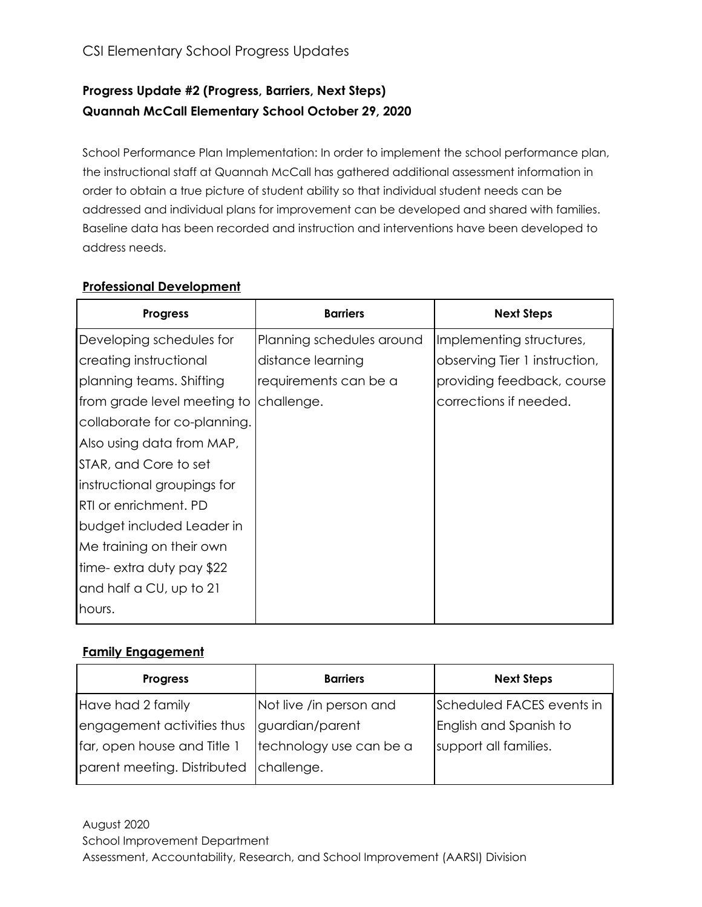# **Progress Update #2 (Progress, Barriers, Next Steps) Quannah McCall Elementary School October 29, 2020**

School Performance Plan Implementation: In order to implement the school performance plan, the instructional staff at Quannah McCall has gathered additional assessment information in order to obtain a true picture of student ability so that individual student needs can be addressed and individual plans for improvement can be developed and shared with families. Baseline data has been recorded and instruction and interventions have been developed to address needs.

### **Professional Development**

| <b>Progress</b>              | <b>Barriers</b>           | <b>Next Steps</b>             |
|------------------------------|---------------------------|-------------------------------|
| Developing schedules for     | Planning schedules around | Implementing structures,      |
| creating instructional       | distance learning         | observing Tier 1 instruction, |
| planning teams. Shifting     | requirements can be a     | providing feedback, course    |
| from grade level meeting to  | challenge.                | corrections if needed.        |
| collaborate for co-planning. |                           |                               |
| Also using data from MAP,    |                           |                               |
| STAR, and Core to set        |                           |                               |
| instructional groupings for  |                           |                               |
| <b>RTI or enrichment. PD</b> |                           |                               |
| budget included Leader in    |                           |                               |
| Me training on their own     |                           |                               |
| time-extra duty pay \$22     |                           |                               |
| and half a CU, up to 21      |                           |                               |
| hours.                       |                           |                               |

### **Family Engagement**

| <b>Progress</b>                        | <b>Barriers</b>         | <b>Next Steps</b>         |  |  |
|----------------------------------------|-------------------------|---------------------------|--|--|
| Have had 2 family                      | Not live /in person and | Scheduled FACES events in |  |  |
| engagement activities thus             | guardian/parent         | English and Spanish to    |  |  |
| far, open house and Title 1            | technology use can be a | support all families.     |  |  |
| parent meeting. Distributed challenge. |                         |                           |  |  |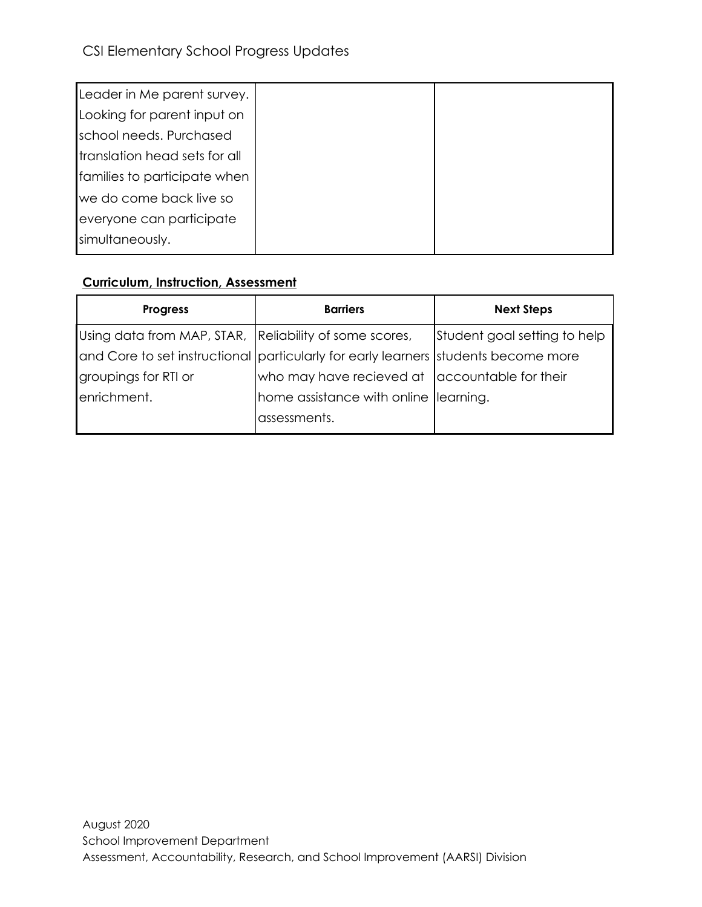| Leader in Me parent survey.   |  |
|-------------------------------|--|
| Looking for parent input on   |  |
| school needs. Purchased       |  |
| translation head sets for all |  |
| families to participate when  |  |
| we do come back live so       |  |
| everyone can participate      |  |
| simultaneously.               |  |
|                               |  |

## **Curriculum, Instruction, Assessment**

| <b>Progress</b>                                                                    | <b>Barriers</b>                                | <b>Next Steps</b>            |  |  |
|------------------------------------------------------------------------------------|------------------------------------------------|------------------------------|--|--|
| Using data from MAP, STAR, Reliability of some scores,                             |                                                | Student goal setting to help |  |  |
| and Core to set instructional particularly for early learners students become more |                                                |                              |  |  |
| groupings for RTI or                                                               | who may have recieved at accountable for their |                              |  |  |
| enrichment.                                                                        | home assistance with online  learning.         |                              |  |  |
|                                                                                    | assessments.                                   |                              |  |  |